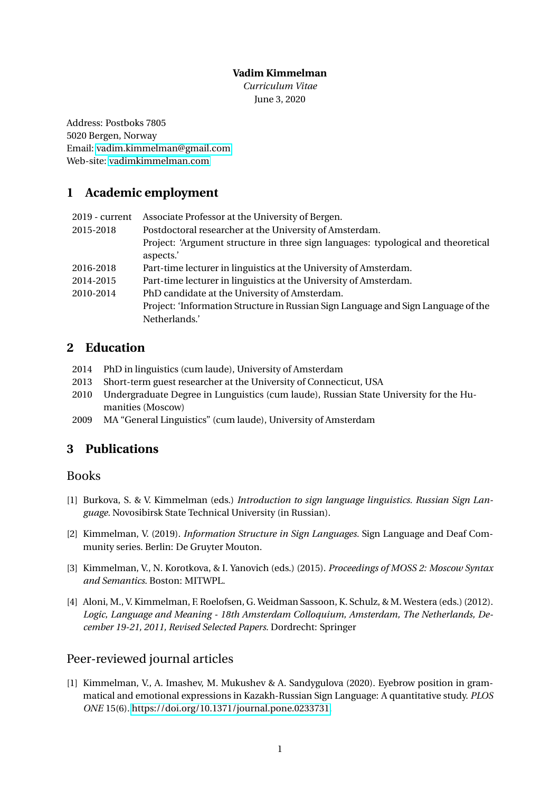### **Vadim Kimmelman**

*Curriculum Vitae* June 3, 2020

Address: Postboks 7805 5020 Bergen, Norway Email: [vadim.kimmelman@gmail.com](mailto:vadim.kimmelman@gmail.com) Web-site:<vadimkimmelman.com>

# **1 Academic employment**

| $2019$ - current | Associate Professor at the University of Bergen.                                  |
|------------------|-----------------------------------------------------------------------------------|
| 2015-2018        | Postdoctoral researcher at the University of Amsterdam.                           |
|                  | Project: 'Argument structure in three sign languages: typological and theoretical |
|                  | aspects.'                                                                         |
| 2016-2018        | Part-time lecturer in linguistics at the University of Amsterdam.                 |
| 2014-2015        | Part-time lecturer in linguistics at the University of Amsterdam.                 |
| 2010-2014        | PhD candidate at the University of Amsterdam.                                     |
|                  | Project: 'Information Structure in Russian Sign Language and Sign Language of the |
|                  | Netherlands.'                                                                     |

# **2 Education**

- 2014 PhD in linguistics (cum laude), University of Amsterdam
- 2013 Short-term guest researcher at the University of Connecticut, USA
- 2010 Undergraduate Degree in Lunguistics (cum laude), Russian State University for the Humanities (Moscow)
- 2009 MA "General Linguistics" (cum laude), University of Amsterdam

# **3 Publications**

## Books

- [1] Burkova, S. & V. Kimmelman (eds.) *Introduction to sign language linguistics. Russian Sign Language.* Novosibirsk State Technical University (in Russian).
- [2] Kimmelman, V. (2019). *Information Structure in Sign Languages.* Sign Language and Deaf Community series. Berlin: De Gruyter Mouton.
- [3] Kimmelman, V., N. Korotkova, & I. Yanovich (eds.) (2015). *Proceedings of MOSS 2: Moscow Syntax and Semantics*. Boston: MITWPL.
- [4] Aloni, M., V. Kimmelman, F. Roelofsen, G. Weidman Sassoon, K. Schulz, & M. Westera (eds.) (2012). *Logic, Language and Meaning - 18th Amsterdam Colloquium, Amsterdam, The Netherlands, December 19-21, 2011, Revised Selected Papers*. Dordrecht: Springer

# Peer-reviewed journal articles

[1] Kimmelman, V., A. Imashev, M. Mukushev & A. Sandygulova (2020). Eyebrow position in grammatical and emotional expressions in Kazakh-Russian Sign Language: A quantitative study. *PLOS ONE* 15(6). [https://doi.org/10.1371/journal.pone.0233731.](https://doi.org/10.1371/journal.pone.0233731)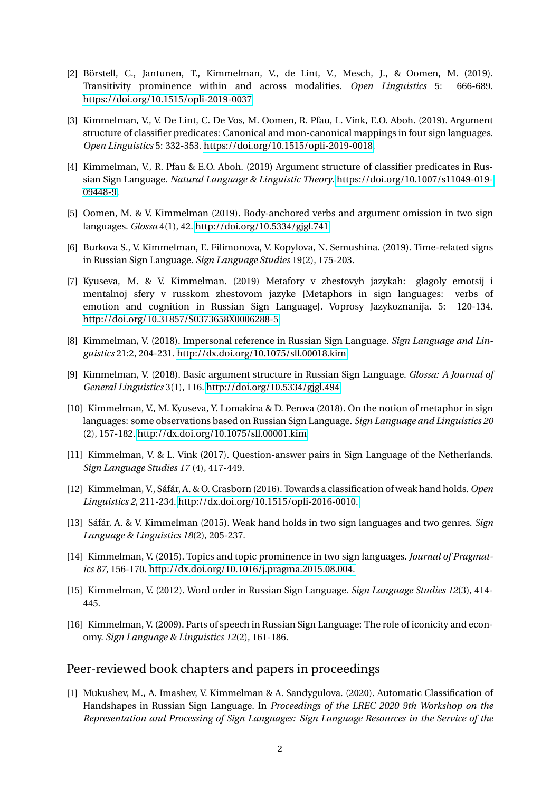- [2] Börstell, C., Jantunen, T., Kimmelman, V., de Lint, V., Mesch, J., & Oomen, M. (2019). Transitivity prominence within and across modalities. *Open Linguistics* 5: 666-689. <https://doi.org/10.1515/opli-2019-0037>
- [3] Kimmelman, V., V. De Lint, C. De Vos, M. Oomen, R. Pfau, L. Vink, E.O. Aboh. (2019). Argument structure of classifier predicates: Canonical and mon-canonical mappings in four sign languages. *Open Linguistics* 5: 332-353. [https://doi.org/10.1515/opli-2019-0018.](https://doi.org/10.1515/opli-2019-0018)
- [4] Kimmelman, V., R. Pfau & E.O. Aboh. (2019) Argument structure of classifier predicates in Russian Sign Language. *Natural Language & Linguistic Theory*. [https://doi.org/10.1007/s11049-019-](https://doi.org/10.1007/s11049-019-09448-9) [09448-9.](https://doi.org/10.1007/s11049-019-09448-9)
- [5] Oomen, M. & V. Kimmelman (2019). Body-anchored verbs and argument omission in two sign languages. *Glossa* 4(1), 42. [http://doi.org/10.5334/gjgl.741.](http://doi.org/10.5334/gjgl.494)
- [6] Burkova S., V. Kimmelman, E. Filimonova, V. Kopylova, N. Semushina. (2019). Time-related signs in Russian Sign Language. *Sign Language Studies* 19(2), 175-203.
- [7] Kyuseva, M. & V. Kimmelman. (2019) Metafory v zhestovyh jazykah: glagoly emotsij i mentalnoj sfery v russkom zhestovom jazyke [Metaphors in sign languages: verbs of emotion and cognition in Russian Sign Language]. Voprosy Jazykoznanija. 5: 120-134. <http://doi.org/10.31857/S0373658X0006288-5>
- [8] Kimmelman, V. (2018). Impersonal reference in Russian Sign Language. *Sign Language and Linguistics* 21:2, 204-231. [http://dx.doi.org/10.1075/sll.00018.kim](https://doi.org/10.1075/sll.00018.kim)
- [9] Kimmelman, V. (2018). Basic argument structure in Russian Sign Language. *Glossa: A Journal of General Linguistics* 3(1), 116.<http://doi.org/10.5334/gjgl.494>
- [10] Kimmelman, V., M. Kyuseva, Y. Lomakina & D. Perova (2018). On the notion of metaphor in sign languages: some observations based on Russian Sign Language. *Sign Language and Linguistics 20* (2), 157-182.<http://dx.doi.org/10.1075/sll.00001.kim>
- [11] Kimmelman, V. & L. Vink (2017). Question-answer pairs in Sign Language of the Netherlands. *Sign Language Studies 17* (4), 417-449.
- [12] Kimmelman, V., Sáfár, A. & O. Crasborn (2016). Towards a classification of weak hand holds. *Open Linguistics 2*, 211-234.<http://dx.doi.org/10.1515/opli-2016-0010.>
- [13] Sáfár, A. & V. Kimmelman (2015). Weak hand holds in two sign languages and two genres. *Sign Language & Linguistics 18*(2), 205-237.
- [14] Kimmelman, V. (2015). Topics and topic prominence in two sign languages. *Journal of Pragmatics 87*, 156-170.<http://dx.doi.org/10.1016/j.pragma.2015.08.004.>
- [15] Kimmelman, V. (2012). Word order in Russian Sign Language. *Sign Language Studies 12*(3), 414- 445.
- [16] Kimmelman, V. (2009). Parts of speech in Russian Sign Language: The role of iconicity and economy. *Sign Language & Linguistics 12*(2), 161-186.

### Peer-reviewed book chapters and papers in proceedings

[1] Mukushev, M., A. Imashev, V. Kimmelman & A. Sandygulova. (2020). Automatic Classification of Handshapes in Russian Sign Language. In *Proceedings of the LREC 2020 9th Workshop on the Representation and Processing of Sign Languages: Sign Language Resources in the Service of the*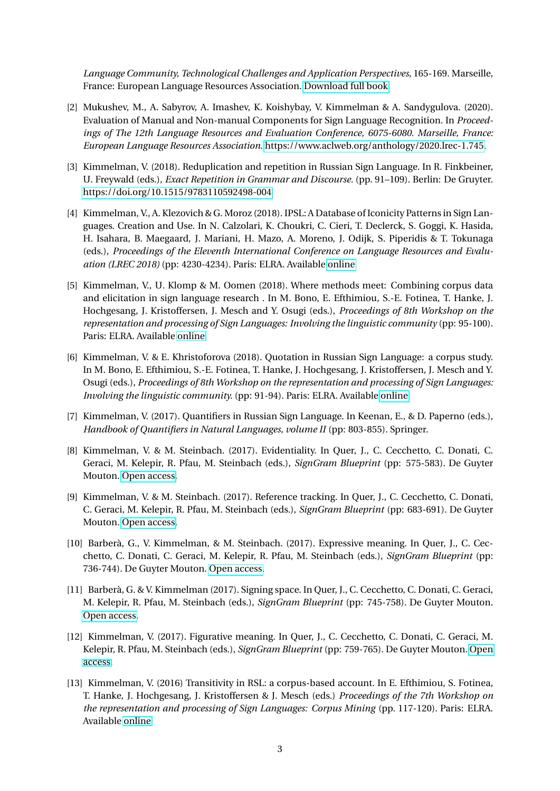*Language Community, Technological Challenges and Application Perspectives*, 165-169. Marseille, France: European Language Resources Association. [Download full book](https://lrec2020.lrec-conf.org/media/proceedings/Workshops/Books/SIGN2020book.pdf)

- [2] Mukushev, M., A. Sabyrov, A. Imashev, K. Koishybay, V. Kimmelman & A. Sandygulova. (2020). Evaluation of Manual and Non-manual Components for Sign Language Recognition. In *Proceedings of The 12th Language Resources and Evaluation Conference, 6075-6080. Marseille, France: European Language Resources Association*. [https://www.aclweb.org/anthology/2020.lrec-1.745.](https://www.aclweb.org/anthology/2020.lrec-1.745)
- [3] Kimmelman, V. (2018). Reduplication and repetition in Russian Sign Language. In R. Finkbeiner, U. Freywald (eds.), *Exact Repetition in Grammar and Discourse.* (pp. 91–109). Berlin: De Gruyter. <https://doi.org/10.1515/9783110592498-004>
- [4] Kimmelman, V., A. Klezovich & G. Moroz (2018). IPSL: A Database of Iconicity Patterns in Sign Languages. Creation and Use. In N. Calzolari, K. Choukri, C. Cieri, T. Declerck, S. Goggi, K. Hasida, H. Isahara, B. Maegaard, J. Mariani, H. Mazo, A. Moreno, J. Odijk, S. Piperidis & T. Tokunaga (eds.), *Proceedings of the Eleventh International Conference on Language Resources and Evaluation (LREC 2018)* (pp: 4230-4234). Paris: ELRA. Available [online](http://www.lrec-conf.org/proceedings/lrec2018/pdf/102.pdf)
- [5] Kimmelman, V., U. Klomp & M. Oomen (2018). Where methods meet: Combining corpus data and elicitation in sign language research . In M. Bono, E. Efthimiou, S.-E. Fotinea, T. Hanke, J. Hochgesang, J. Kristoffersen, J. Mesch and Y. Osugi (eds.), *Proceedings of 8th Workshop on the representation and processing of Sign Languages: Involving the linguistic community* (pp: 95-100). Paris: ELRA. Available [online](http://lrec-conf.org/workshops/lrec2018/W1/pdf/book_of_proceedings.pdf)
- [6] Kimmelman, V. & E. Khristoforova (2018). Quotation in Russian Sign Language: a corpus study. In M. Bono, E. Efthimiou, S.-E. Fotinea, T. Hanke, J. Hochgesang, J. Kristoffersen, J. Mesch and Y. Osugi (eds.), *Proceedings of 8th Workshop on the representation and processing of Sign Languages: Involving the linguistic community.* (pp: 91-94). Paris: ELRA. Available [online](http://lrec-conf.org/workshops/lrec2018/W1/pdf/book_of_proceedings.pdf)
- [7] Kimmelman, V. (2017). Quantifiers in Russian Sign Language. In Keenan, E., & D. Paperno (eds.), *Handbook of Quantifiers in Natural Languages, volume II* (pp: 803-855). Springer.
- [8] Kimmelman, V. & M. Steinbach. (2017). Evidentiality. In Quer, J., C. Cecchetto, C. Donati, C. Geraci, M. Kelepir, R. Pfau, M. Steinbach (eds.), *SignGram Blueprint* (pp: 575-583). De Guyter Mouton. [Open access.](https://www.degruyter.com/viewbooktoc/product/467598)
- [9] Kimmelman, V. & M. Steinbach. (2017). Reference tracking. In Quer, J., C. Cecchetto, C. Donati, C. Geraci, M. Kelepir, R. Pfau, M. Steinbach (eds.), *SignGram Blueprint* (pp: 683-691). De Guyter Mouton. [Open access.](https://www.degruyter.com/viewbooktoc/product/467598)
- [10] Barberà, G., V. Kimmelman, & M. Steinbach. (2017). Expressive meaning. In Quer, J., C. Cecchetto, C. Donati, C. Geraci, M. Kelepir, R. Pfau, M. Steinbach (eds.), *SignGram Blueprint* (pp: 736-744). De Guyter Mouton. [Open access.](https://www.degruyter.com/viewbooktoc/product/467598)
- [11] Barberà, G. & V. Kimmelman (2017). Signing space. In Quer, J., C. Cecchetto, C. Donati, C. Geraci, M. Kelepir, R. Pfau, M. Steinbach (eds.), *SignGram Blueprint* (pp: 745-758). De Guyter Mouton. [Open access.](https://www.degruyter.com/viewbooktoc/product/467598)
- [12] Kimmelman, V. (2017). Figurative meaning. In Quer, J., C. Cecchetto, C. Donati, C. Geraci, M. Kelepir, R. Pfau, M. Steinbach (eds.), *SignGram Blueprint* (pp: 759-765). De Guyter Mouton. [Open](https://www.degruyter.com/viewbooktoc/product/467598) [access.](https://www.degruyter.com/viewbooktoc/product/467598)
- [13] Kimmelman, V. (2016) Transitivity in RSL: a corpus-based account. In E. Efthimiou, S. Fotinea, T. Hanke, J. Hochgesang, J. Kristoffersen & J. Mesch (eds.) *Proceedings of the 7th Workshop on the representation and processing of Sign Languages: Corpus Mining* (pp. 117-120). Paris: ELRA. Available [online](http://www.lrec-conf.org/proceedings/lrec2016/workshops/LREC2016Workshop-SignLanguage_Proceedings.pdf)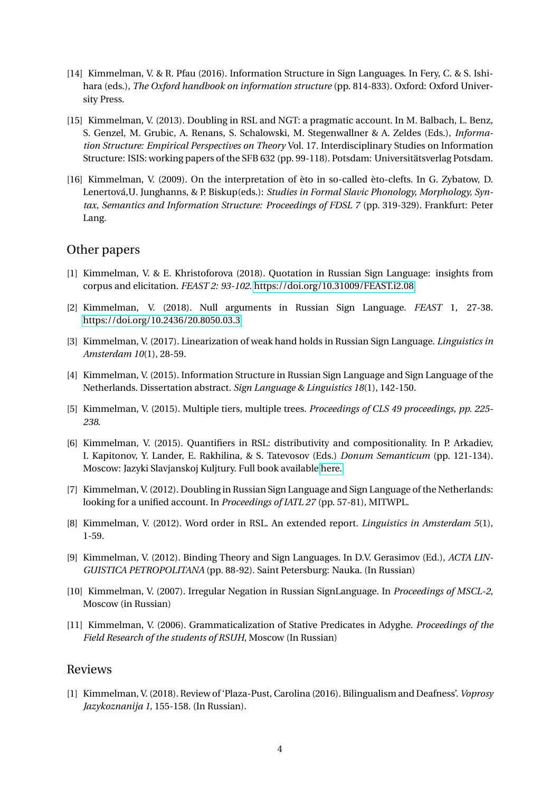- [14] Kimmelman, V. & R. Pfau (2016). Information Structure in Sign Languages. In Fery, C. & S. Ishihara (eds.), *The Oxford handbook on information structure* (pp. 814-833). Oxford: Oxford University Press.
- [15] Kimmelman, V. (2013). Doubling in RSL and NGT: a pragmatic account. In M. Balbach, L. Benz, S. Genzel, M. Grubic, A. Renans, S. Schalowski, M. Stegenwallner & A. Zeldes (Eds.), *Information Structure: Empirical Perspectives on Theory* Vol. 17. Interdisciplinary Studies on Information Structure: ISIS: working papers of the SFB 632 (pp. 99-118). Potsdam: Universitätsverlag Potsdam.
- [16] Kimmelman, V. (2009). On the interpretation of èto in so-called èto-clefts. In G. Zybatow, D. Lenertová,U. Junghanns, & P. Biskup(eds.): *Studies in Formal Slavic Phonology, Morphology, Syntax, Semantics and Information Structure: Proceedings of FDSL 7* (pp. 319-329). Frankfurt: Peter Lang.

## Other papers

- [1] Kimmelman, V. & E. Khristoforova (2018). Quotation in Russian Sign Language: insights from corpus and elicitation. *FEAST 2: 93-102*.<https://doi.org/10.31009/FEAST.i2.08>
- [2] Kimmelman, V. (2018). Null arguments in Russian Sign Language. *FEAST* 1, 27-38. <https://doi.org/10.2436/20.8050.03.3>
- [3] Kimmelman, V. (2017). Linearization of weak hand holds in Russian Sign Language. *Linguistics in Amsterdam 10*(1), 28-59.
- [4] Kimmelman, V. (2015). Information Structure in Russian Sign Language and Sign Language of the Netherlands. Dissertation abstract. *Sign Language & Linguistics 18*(1), 142-150.
- [5] Kimmelman, V. (2015). Multiple tiers, multiple trees. *Proceedings of CLS 49 proceedings, pp. 225- 238*.
- [6] Kimmelman, V. (2015). Quantifiers in RSL: distributivity and compositionality. In P. Arkadiev, I. Kapitonov, Y. Lander, E. Rakhilina, & S. Tatevosov (Eds.) *Donum Semanticum* (pp. 121-134). Moscow: Jazyki Slavjanskoj Kuljtury. Full book available [here.](http://ling.auf.net/lingbuzz/002550)
- [7] Kimmelman, V. (2012). Doubling in Russian Sign Language and Sign Language of the Netherlands: looking for a unified account. In *Proceedings of IATL 27* (pp. 57-81), MITWPL.
- [8] Kimmelman, V. (2012). Word order in RSL. An extended report. *Linguistics in Amsterdam 5*(1), 1-59.
- [9] Kimmelman, V. (2012). Binding Theory and Sign Languages. In D.V. Gerasimov (Ed.), *ACTA LIN-GUISTICA PETROPOLITANA* (pp. 88-92). Saint Petersburg: Nauka. (In Russian)
- [10] Kimmelman, V. (2007). Irregular Negation in Russian SignLanguage. In *Proceedings of MSCL-2*, Moscow (in Russian)
- [11] Kimmelman, V. (2006). Grammaticalization of Stative Predicates in Adyghe. *Proceedings of the Field Research of the students of RSUH*, Moscow (In Russian)

### Reviews

[1] Kimmelman, V. (2018). Review of 'Plaza-Pust, Carolina (2016). Bilingualism and Deafness'. *Voprosy Jazykoznanija 1*, 155-158. (In Russian).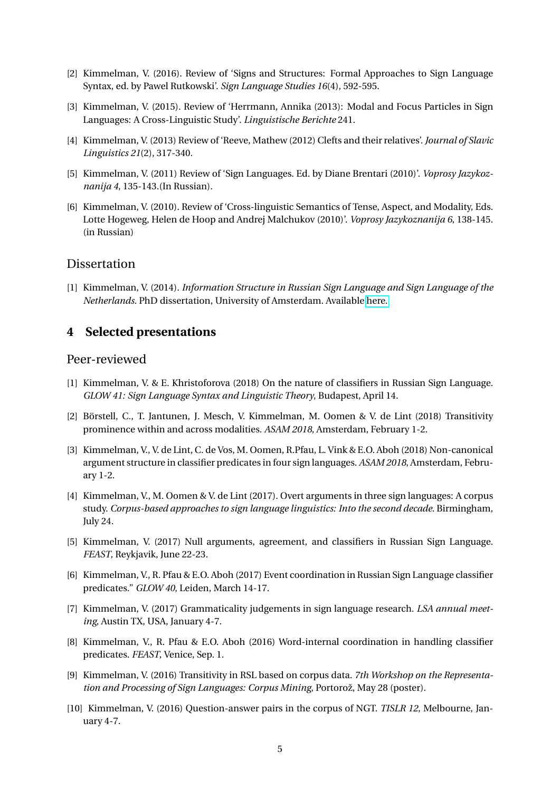- [2] Kimmelman, V. (2016). Review of 'Signs and Structures: Formal Approaches to Sign Language Syntax, ed. by Pawel Rutkowski'. *Sign Language Studies 16*(4), 592-595.
- [3] Kimmelman, V. (2015). Review of 'Herrmann, Annika (2013): Modal and Focus Particles in Sign Languages: A Cross-Linguistic Study'. *Linguistische Berichte* 241.
- [4] Kimmelman, V. (2013) Review of 'Reeve, Mathew (2012) Clefts and their relatives'. *Journal of Slavic Linguistics 21*(2), 317-340.
- [5] Kimmelman, V. (2011) Review of 'Sign Languages. Ed. by Diane Brentari (2010)'. *Voprosy Jazykoznanija 4*, 135-143.(In Russian).
- [6] Kimmelman, V. (2010). Review of 'Cross-linguistic Semantics of Tense, Aspect, and Modality, Eds. Lotte Hogeweg, Helen de Hoop and Andrej Malchukov (2010)'. *Voprosy Jazykoznanija 6*, 138-145. (in Russian)

## **Dissertation**

[1] Kimmelman, V. (2014). *Information Structure in Russian Sign Language and Sign Language of the Netherlands.* PhD dissertation, University of Amsterdam. Available [here.](http://dare.uva.nl/record/1/432175)

## **4 Selected presentations**

### Peer-reviewed

- [1] Kimmelman, V. & E. Khristoforova (2018) On the nature of classifiers in Russian Sign Language. *GLOW 41: Sign Language Syntax and Linguistic Theory*, Budapest, April 14.
- [2] Börstell, C., T. Jantunen, J. Mesch, V. Kimmelman, M. Oomen & V. de Lint (2018) Transitivity prominence within and across modalities. *ASAM 2018*, Amsterdam, February 1-2.
- [3] Kimmelman, V., V. de Lint, C. de Vos, M. Oomen, R.Pfau, L. Vink & E.O. Aboh (2018) Non-canonical argument structure in classifier predicates in four sign languages. *ASAM 2018*, Amsterdam, February 1-2.
- [4] Kimmelman, V., M. Oomen & V. de Lint (2017). Overt arguments in three sign languages: A corpus study. *Corpus-based approaches to sign language linguistics: Into the second decade*. Birmingham, July 24.
- [5] Kimmelman, V. (2017) Null arguments, agreement, and classifiers in Russian Sign Language. *FEAST*, Reykjavik, June 22-23.
- [6] Kimmelman, V., R. Pfau & E.O. Aboh (2017) Event coordination in Russian Sign Language classifier predicates." *GLOW 40*, Leiden, March 14-17.
- [7] Kimmelman, V. (2017) Grammaticality judgements in sign language research. *LSA annual meeting*, Austin TX, USA, January 4-7.
- [8] Kimmelman, V., R. Pfau & E.O. Aboh (2016) Word-internal coordination in handling classifier predicates. *FEAST*, Venice, Sep. 1.
- [9] Kimmelman, V. (2016) Transitivity in RSL based on corpus data. *7th Workshop on the Representation and Processing of Sign Languages: Corpus Mining*, Portorož, May 28 (poster).
- [10] Kimmelman, V. (2016) Question-answer pairs in the corpus of NGT. *TISLR 12*, Melbourne, January 4-7.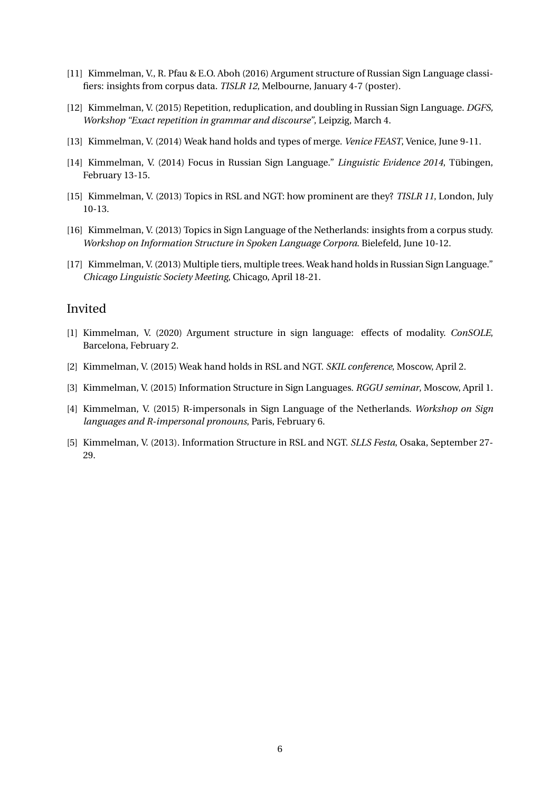- [11] Kimmelman, V., R. Pfau & E.O. Aboh (2016) Argument structure of Russian Sign Language classifiers: insights from corpus data. *TISLR 12*, Melbourne, January 4-7 (poster).
- [12] Kimmelman, V. (2015) Repetition, reduplication, and doubling in Russian Sign Language. *DGFS, Workshop "Exact repetition in grammar and discourse"*, Leipzig, March 4.
- [13] Kimmelman, V. (2014) Weak hand holds and types of merge. *Venice FEAST*, Venice, June 9-11.
- [14] Kimmelman, V. (2014) Focus in Russian Sign Language." *Linguistic Evidence 2014*, Tübingen, February 13-15.
- [15] Kimmelman, V. (2013) Topics in RSL and NGT: how prominent are they? *TISLR 11*, London, July 10-13.
- [16] Kimmelman, V. (2013) Topics in Sign Language of the Netherlands: insights from a corpus study. *Workshop on Information Structure in Spoken Language Corpora*. Bielefeld, June 10-12.
- [17] Kimmelman, V. (2013) Multiple tiers, multiple trees. Weak hand holds in Russian Sign Language." *Chicago Linguistic Society Meeting*, Chicago, April 18-21.

## Invited

- [1] Kimmelman, V. (2020) Argument structure in sign language: effects of modality. *ConSOLE*, Barcelona, February 2.
- [2] Kimmelman, V. (2015) Weak hand holds in RSL and NGT. *SKIL conference*, Moscow, April 2.
- [3] Kimmelman, V. (2015) Information Structure in Sign Languages. *RGGU seminar*, Moscow, April 1.
- [4] Kimmelman, V. (2015) R-impersonals in Sign Language of the Netherlands. *Workshop on Sign languages and R-impersonal pronouns*, Paris, February 6.
- [5] Kimmelman, V. (2013). Information Structure in RSL and NGT. *SLLS Festa*, Osaka, September 27- 29.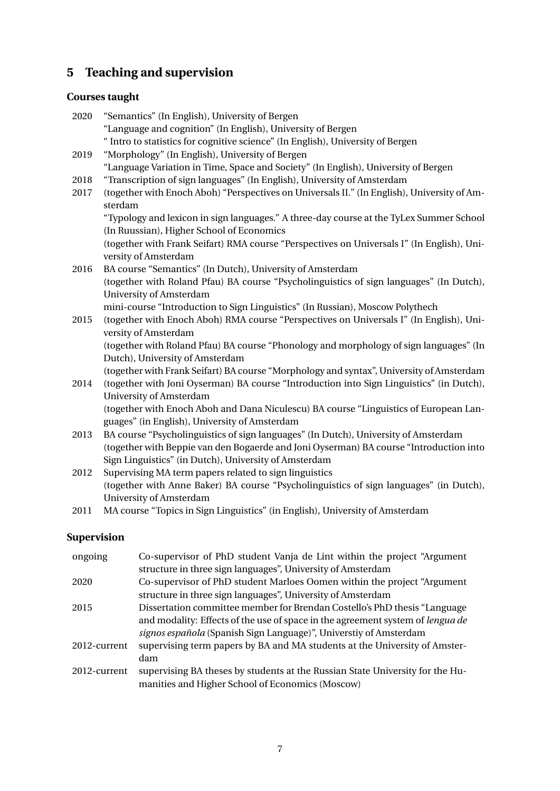# **5 Teaching and supervision**

# **Courses taught**

| 2020 | "Semantics" (In English), University of Bergen                                              |
|------|---------------------------------------------------------------------------------------------|
|      | "Language and cognition" (In English), University of Bergen                                 |
|      | " Intro to statistics for cognitive science" (In English), University of Bergen             |
| 2019 | "Morphology" (In English), University of Bergen                                             |
|      | "Language Variation in Time, Space and Society" (In English), University of Bergen          |
| 2018 | "Transcription of sign languages" (In English), University of Amsterdam                     |
| 2017 | (together with Enoch Aboh) "Perspectives on Universals II." (In English), University of Am- |
|      | sterdam                                                                                     |
|      | "Typology and lexicon in sign languages." A three-day course at the TyLex Summer School     |
|      | (In Ruussian), Higher School of Economics                                                   |
|      | (together with Frank Seifart) RMA course "Perspectives on Universals I" (In English), Uni-  |
|      | versity of Amsterdam                                                                        |
| 2016 | BA course "Semantics" (In Dutch), University of Amsterdam                                   |
|      | (together with Roland Pfau) BA course "Psycholinguistics of sign languages" (In Dutch),     |
|      | <b>University of Amsterdam</b>                                                              |
|      | mini-course "Introduction to Sign Linguistics" (In Russian), Moscow Polythech               |
| 2015 | (together with Enoch Aboh) RMA course "Perspectives on Universals I" (In English), Uni-     |
|      | versity of Amsterdam                                                                        |
|      | (together with Roland Pfau) BA course "Phonology and morphology of sign languages" (In      |
|      | Dutch), University of Amsterdam                                                             |
|      | (together with Frank Seifart) BA course "Morphology and syntax", University of Amsterdam    |
| 2014 | (together with Joni Oyserman) BA course "Introduction into Sign Linguistics" (in Dutch),    |
|      | University of Amsterdam                                                                     |
|      | (together with Enoch Aboh and Dana Niculescu) BA course "Linguistics of European Lan-       |
|      | guages" (in English), University of Amsterdam                                               |
| 2013 | BA course "Psycholinguistics of sign languages" (In Dutch), University of Amsterdam         |
|      | (together with Beppie van den Bogaerde and Joni Oyserman) BA course "Introduction into      |
|      | Sign Linguistics" (in Dutch), University of Amsterdam                                       |

- 2012 Supervising MA term papers related to sign linguistics (together with Anne Baker) BA course "Psycholinguistics of sign languages" (in Dutch), University of Amsterdam
- 2011 MA course "Topics in Sign Linguistics" (in English), University of Amsterdam

# **Supervision**

| Co-supervisor of PhD student Vanja de Lint within the project "Argument<br>structure in three sign languages", University of Amsterdam |
|----------------------------------------------------------------------------------------------------------------------------------------|
| Co-supervisor of PhD student Marloes Oomen within the project "Argument                                                                |
| structure in three sign languages", University of Amsterdam                                                                            |
| Dissertation committee member for Brendan Costello's PhD thesis "Language"                                                             |
| and modality: Effects of the use of space in the agreement system of <i>lengua de</i>                                                  |
| signos española (Spanish Sign Language)", Universtiy of Amsterdam                                                                      |
| supervising term papers by BA and MA students at the University of Amster-                                                             |
| dam                                                                                                                                    |
| supervising BA theses by students at the Russian State University for the Hu-<br>manities and Higher School of Economics (Moscow)      |
|                                                                                                                                        |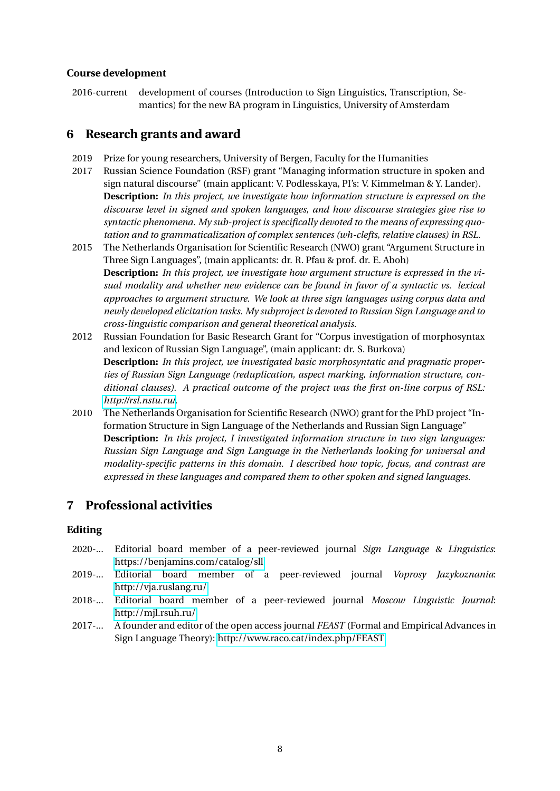### **Course development**

2016-current development of courses (Introduction to Sign Linguistics, Transcription, Semantics) for the new BA program in Linguistics, University of Amsterdam

## **6 Research grants and award**

- 2019 Prize for young researchers, University of Bergen, Faculty for the Humanities
- 2017 Russian Science Foundation (RSF) grant "Managing information structure in spoken and sign natural discourse" (main applicant: V. Podlesskaya, PI's: V. Kimmelman & Y. Lander). **Description:** *In this project, we investigate how information structure is expressed on the discourse level in signed and spoken languages, and how discourse strategies give rise to syntactic phenomena. My sub-project is specifically devoted to the means of expressing quotation and to grammaticalization of complex sentences (wh-clefts, relative clauses) in RSL.*
- 2015 The Netherlands Organisation for Scientific Research (NWO) grant "Argument Structure in Three Sign Languages", (main applicants: dr. R. Pfau & prof. dr. E. Aboh) **Description:** *In this project, we investigate how argument structure is expressed in the visual modality and whether new evidence can be found in favor of a syntactic vs. lexical approaches to argument structure. We look at three sign languages using corpus data and newly developed elicitation tasks. My subproject is devoted to Russian Sign Language and to cross-linguistic comparison and general theoretical analysis.*
- 2012 Russian Foundation for Basic Research Grant for "Corpus investigation of morphosyntax and lexicon of Russian Sign Language", (main applicant: dr. S. Burkova) **Description:** *In this project, we investigated basic morphosyntatic and pragmatic properties of Russian Sign Language (reduplication, aspect marking, information structure, conditional clauses). A practical outcome of the project was the first on-line corpus of RSL: [http://rsl.nstu.ru/.](http://rsl.nstu.ru/)*
- 2010 The Netherlands Organisation for Scientific Research (NWO) grant for the PhD project "Information Structure in Sign Language of the Netherlands and Russian Sign Language" **Description:** *In this project, I investigated information structure in two sign languages: Russian Sign Language and Sign Language in the Netherlands looking for universal and modality-specific patterns in this domain. I described how topic, focus, and contrast are expressed in these languages and compared them to other spoken and signed languages.*

# **7 Professional activities**

### **Editing**

- 2020-... Editorial board member of a peer-reviewed journal *Sign Language & Linguistics*: <https://benjamins.com/catalog/sll>
- 2019-... Editorial board member of a peer-reviewed journal *Voprosy Jazykoznania*: <http://vja.ruslang.ru/>
- 2018-... Editorial board member of a peer-reviewed journal *Moscow Linguistic Journal*: <http://mjl.rsuh.ru/>
- 2017-... A founder and editor of the open access journal *FEAST* (Formal and Empirical Advances in Sign Language Theory):<http://www.raco.cat/index.php/FEAST>